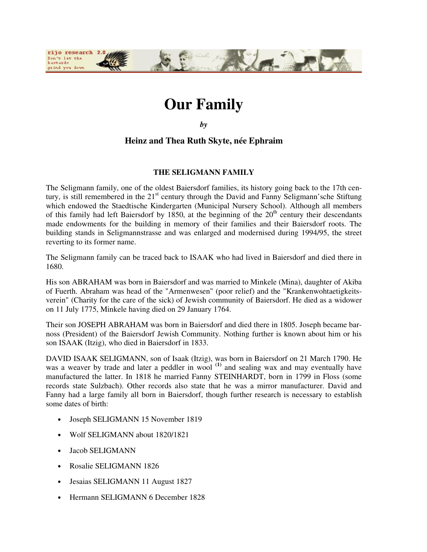

# **Our Family**

*by*

## **Heinz and Thea Ruth Skyte, née Ephraim**

## **THE SELIGMANN FAMILY**

The Seligmann family, one of the oldest Baiersdorf families, its history going back to the 17th century, is still remembered in the  $21<sup>st</sup>$  century through the David and Fanny Seligmann'sche Stiftung which endowed the Staedtische Kindergarten (Municipal Nursery School). Although all members of this family had left Baiersdorf by 1850, at the beginning of the  $20<sup>th</sup>$  century their descendants made endowments for the building in memory of their families and their Baiersdorf roots. The building stands in Seligmannstrasse and was enlarged and modernised during 1994/95, the street reverting to its former name.

The Seligmann family can be traced back to ISAAK who had lived in Baiersdorf and died there in 1680.

His son ABRAHAM was born in Baiersdorf and was married to Minkele (Mina), daughter of Akiba of Fuerth. Abraham was head of the "Armenwesen" (poor relief) and the "Krankenwohtaetigkeitsverein" (Charity for the care of the sick) of Jewish community of Baiersdorf. He died as a widower on 11 July 1775, Minkele having died on 29 January 1764.

Their son JOSEPH ABRAHAM was born in Baiersdorf and died there in 1805. Joseph became barnoss (President) of the Baiersdorf Jewish Community. Nothing further is known about him or his son ISAAK (Itzig), who died in Baiersdorf in 1833.

DAVID ISAAK SELIGMANN, son of Isaak (Itzig), was born in Baiersdorf on 21 March 1790. He was a weaver by trade and later a peddler in wool<sup>(1)</sup> and sealing wax and may eventually have manufactured the latter. In 1818 he married Fanny STEINHARDT, born in 1799 in Floss (some records state Sulzbach). Other records also state that he was a mirror manufacturer. David and Fanny had a large family all born in Baiersdorf, though further research is necessary to establish some dates of birth:

- Joseph SELIGMANN 15 November 1819
- Wolf SELIGMANN about 1820/1821
- Jacob SELIGMANN
- Rosalie SELIGMANN 1826
- Jesaias SELIGMANN 11 August 1827
- Hermann SELIGMANN 6 December 1828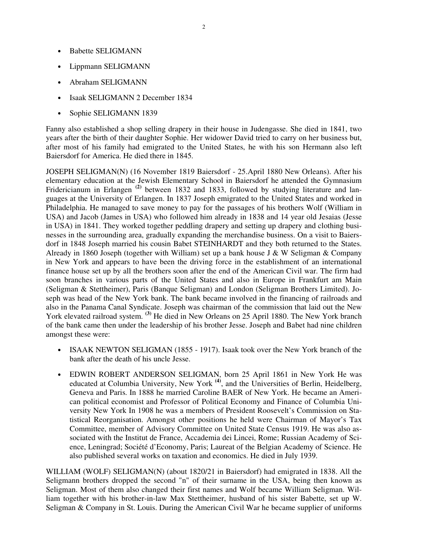- Babette SELIGMANN
- Lippmann SELIGMANN
- Abraham SELIGMANN
- Isaak SELIGMANN 2 December 1834
- Sophie SELIGMANN 1839

Fanny also established a shop selling drapery in their house in Judengasse. She died in 1841, two years after the birth of their daughter Sophie. Her widower David tried to carry on her business but, after most of his family had emigrated to the United States, he with his son Hermann also left Baiersdorf for America. He died there in 1845.

JOSEPH SELIGMAN(N) (16 November 1819 Baiersdorf - 25.April 1880 New Orleans). After his elementary education at the Jewish Elementary School in Baiersdorf he attended the Gymnasium Fridericianum in Erlangen<sup>(2)</sup> between 1832 and 1833, followed by studying literature and languages at the University of Erlangen. In 1837 Joseph emigrated to the United States and worked in Philadelphia. He managed to save money to pay for the passages of his brothers Wolf (William in USA) and Jacob (James in USA) who followed him already in 1838 and 14 year old Jesaias (Jesse in USA) in 1841. They worked together peddling drapery and setting up drapery and clothing businesses in the surrounding area, gradually expanding the merchandise business. On a visit to Baiersdorf in 1848 Joseph married his cousin Babet STEINHARDT and they both returned to the States. Already in 1860 Joseph (together with William) set up a bank house J & W Seligman & Company in New York and appears to have been the driving force in the establishment of an international finance house set up by all the brothers soon after the end of the American Civil war. The firm had soon branches in various parts of the United States and also in Europe in Frankfurt am Main (Seligman & Stettheimer), Paris (Banque Seligman) and London (Seligman Brothers Limited). Joseph was head of the New York bank. The bank became involved in the financing of railroads and also in the Panama Canal Syndicate. Joseph was chairman of the commission that laid out the New York elevated railroad system. <sup>(3)</sup> He died in New Orleans on 25 April 1880. The New York branch of the bank came then under the leadership of his brother Jesse. Joseph and Babet had nine children amongst these were:

- ISAAK NEWTON SELIGMAN (1855 1917). Isaak took over the New York branch of the bank after the death of his uncle Jesse.
- EDWIN ROBERT ANDERSON SELIGMAN, born 25 April 1861 in New York He was educated at Columbia University, New York **(4)**, and the Universities of Berlin, Heidelberg, Geneva and Paris. In 1888 he married Caroline BAER of New York. He became an American political economist and Professor of Political Economy and Finance of Columbia University New York In 1908 he was a members of President Roosevelt's Commission on Statistical Reorganisation. Amongst other positions he held were Chairman of Mayor's Tax Committee, member of Advisory Committee on United State Census 1919. He was also associated with the Institut de France, Accademia dei Lincei, Rome; Russian Academy of Science, Leningrad; Société d'Economy, Paris; Laureat of the Belgian Academy of Science. He also published several works on taxation and economics. He died in July 1939.

WILLIAM (WOLF) SELIGMAN(N) (about 1820/21 in Baiersdorf) had emigrated in 1838. All the Seligmann brothers dropped the second "n" of their surname in the USA, being then known as Seligman. Most of them also changed their first names and Wolf became William Seligman. William together with his brother-in-law Max Stettheimer, husband of his sister Babette, set up W. Seligman & Company in St. Louis. During the American Civil War he became supplier of uniforms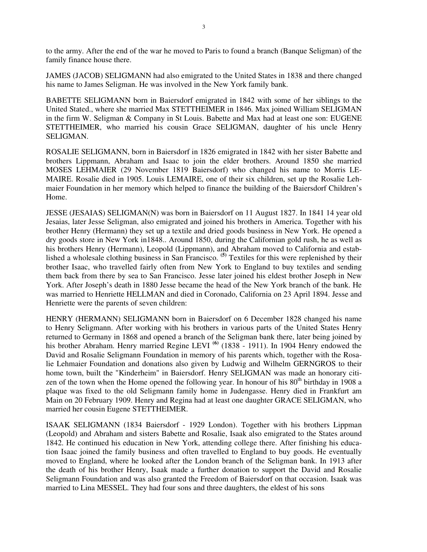to the army. After the end of the war he moved to Paris to found a branch (Banque Seligman) of the family finance house there.

JAMES (JACOB) SELIGMANN had also emigrated to the United States in 1838 and there changed his name to James Seligman. He was involved in the New York family bank.

BABETTE SELIGMANN born in Baiersdorf emigrated in 1842 with some of her siblings to the United Stated., where she married Max STETTHEIMER in 1846. Max joined William SELIGMAN in the firm W. Seligman & Company in St Louis. Babette and Max had at least one son: EUGENE STETTHEIMER, who married his cousin Grace SELIGMAN, daughter of his uncle Henry SELIGMAN.

ROSALIE SELIGMANN, born in Baiersdorf in 1826 emigrated in 1842 with her sister Babette and brothers Lippmann, Abraham and Isaac to join the elder brothers. Around 1850 she married MOSES LEHMAIER (29 November 1819 Baiersdorf) who changed his name to Morris LE-MAIRE. Rosalie died in 1905. Louis LEMAIRE, one of their six children, set up the Rosalie Lehmaier Foundation in her memory which helped to finance the building of the Baiersdorf Children's Home.

JESSE (JESAIAS) SELIGMAN(N) was born in Baiersdorf on 11 August 1827. In 1841 14 year old Jesaias, later Jesse Seligman, also emigrated and joined his brothers in America. Together with his brother Henry (Hermann) they set up a textile and dried goods business in New York. He opened a dry goods store in New York in1848.. Around 1850, during the Californian gold rush, he as well as his brothers Henry (Hermann), Leopold (Lippmann), and Abraham moved to California and established a wholesale clothing business in San Francisco. **(5)** Textiles for this were replenished by their brother Isaac, who travelled fairly often from New York to England to buy textiles and sending them back from there by sea to San Francisco. Jesse later joined his eldest brother Joseph in New York. After Joseph's death in 1880 Jesse became the head of the New York branch of the bank. He was married to Henriette HELLMAN and died in Coronado, California on 23 April 1894. Jesse and Henriette were the parents of seven children:

HENRY (HERMANN) SELIGMANN born in Baiersdorf on 6 December 1828 changed his name to Henry Seligmann. After working with his brothers in various parts of the United States Henry returned to Germany in 1868 and opened a branch of the Seligman bank there, later being joined by his brother Abraham. Henry married Regine LEVI<sup>(6)</sup> (1838 - 1911). In 1904 Henry endowed the David and Rosalie Seligmann Foundation in memory of his parents which, together with the Rosalie Lehmaier Foundation and donations also given by Ludwig and Wilhelm GERNGROS to their home town, built the "Kinderheim" in Baiersdorf. Henry SELIGMAN was made an honorary citizen of the town when the Home opened the following year. In honour of his  $80<sup>th</sup>$  birthday in 1908 a plaque was fixed to the old Seligmann family home in Judengasse. Henry died in Frankfurt am Main on 20 February 1909. Henry and Regina had at least one daughter GRACE SELIGMAN, who married her cousin Eugene STETTHEIMER.

ISAAK SELIGMANN (1834 Baiersdorf - 1929 London). Together with his brothers Lippman (Leopold) and Abraham and sisters Babette and Rosalie, Isaak also emigrated to the States around 1842. He continued his education in New York, attending college there. After finishing his education Isaac joined the family business and often travelled to England to buy goods. He eventually moved to England, where he looked after the London branch of the Seligman bank. In 1913 after the death of his brother Henry, Isaak made a further donation to support the David and Rosalie Seligmann Foundation and was also granted the Freedom of Baiersdorf on that occasion. Isaak was married to Lina MESSEL. They had four sons and three daughters, the eldest of his sons